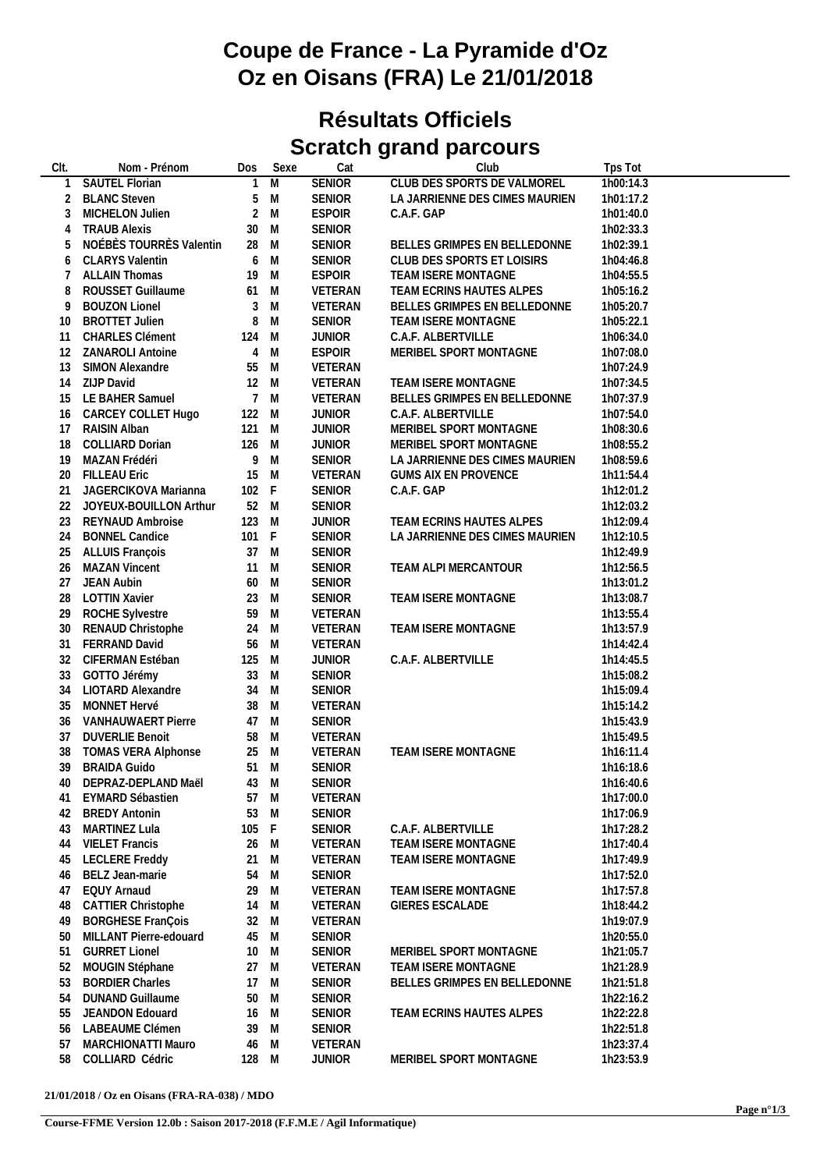## **Coupe de France - La Pyramide d'Oz Oz en Oisans (FRA) Le 21/01/2018**

## **Résultats Officiels Scratch grand parcours**

| CIt.           | Nom - Prénom               | Dos            | Sexe           | Cat           | Club                           | Tps Tot   |
|----------------|----------------------------|----------------|----------------|---------------|--------------------------------|-----------|
| 1              | <b>SAUTEL Florian</b>      | $\mathbf{1}$   | $\overline{M}$ | <b>SENIOR</b> | CLUB DES SPORTS DE VALMOREL    | 1h00:14.3 |
| $\overline{2}$ | <b>BLANC Steven</b>        | 5              | M              | <b>SENIOR</b> | LA JARRIENNE DES CIMES MAURIEN | 1h01:17.2 |
| 3              | MICHELON Julien            | $\overline{2}$ | M              | <b>ESPOIR</b> | C.A.F. GAP                     | 1h01:40.0 |
| 4              | <b>TRAUB Alexis</b>        | 30             | M              | SENIOR        |                                | 1h02:33.3 |
| 5              | NOÉBÈS TOURRÈS Valentin    | 28             | M              | <b>SENIOR</b> | BELLES GRIMPES EN BELLEDONNE   | 1h02:39.1 |
| 6              | <b>CLARYS Valentin</b>     | 6              | M              | SENIOR        | CLUB DES SPORTS ET LOISIRS     | 1h04:46.8 |
| 7              | <b>ALLAIN Thomas</b>       | 19             | M              | <b>ESPOIR</b> | TEAM ISERE MONTAGNE            | 1h04:55.5 |
| 8              | ROUSSET Guillaume          | 61 M           |                | VETERAN       | TEAM ECRINS HAUTES ALPES       | 1h05:16.2 |
| 9              | <b>BOUZON Lionel</b>       | $\mathfrak{Z}$ | M              | VETERAN       | BELLES GRIMPES EN BELLEDONNE   | 1h05:20.7 |
| 10             | <b>BROTTET Julien</b>      | 8              | M              | <b>SENIOR</b> | TEAM ISERE MONTAGNE            | 1h05:22.1 |
| 11             | <b>CHARLES Clément</b>     | 124 M          |                | <b>JUNIOR</b> | C.A.F. ALBERTVILLE             | 1h06:34.0 |
| 12             | <b>ZANAROLI Antoine</b>    | $\overline{4}$ | M              | <b>ESPOIR</b> | MERIBEL SPORT MONTAGNE         | 1h07:08.0 |
| 13             | SIMON Alexandre            | 55             | M              | VETERAN       |                                | 1h07:24.9 |
| 14             | ZIJP David                 | 12 M           |                | VETERAN       | TEAM ISERE MONTAGNE            | 1h07:34.5 |
|                | 15 LE BAHER Samuel         | 7 M            |                | VETERAN       | BELLES GRIMPES EN BELLEDONNE   | 1h07:37.9 |
| 16             | CARCEY COLLET Hugo         | 122 M          |                | <b>JUNIOR</b> | C.A.F. ALBERTVILLE             | 1h07:54.0 |
| 17             | RAISIN Alban               | 121 M          |                | <b>JUNIOR</b> | MERIBEL SPORT MONTAGNE         | 1h08:30.6 |
| 18             | COLLIARD Dorian            | 126 M          |                | <b>JUNIOR</b> | MERIBEL SPORT MONTAGNE         | 1h08:55.2 |
| 19             |                            | 9              | M              | SENIOR        |                                |           |
|                | MAZAN Frédéri              |                |                |               | LA JARRIENNE DES CIMES MAURIEN | 1h08:59.6 |
| 20             | <b>FILLEAU Eric</b>        | 15             | M              | VETERAN       | <b>GUMS AIX EN PROVENCE</b>    | 1h11:54.4 |
| 21             | JAGERCIKOVA Marianna       | 102 F          |                | SENIOR        | C.A.F. GAP                     | 1h12:01.2 |
|                | 22 JOYEUX-BOUILLON Arthur  | 52 M           |                | SENIOR        |                                | 1h12:03.2 |
| 23             | REYNAUD Ambroise           | 123 M          |                | <b>JUNIOR</b> | TEAM ECRINS HAUTES ALPES       | 1h12:09.4 |
| 24             | <b>BONNEL Candice</b>      | 101 F          |                | <b>SENIOR</b> | LA JARRIENNE DES CIMES MAURIEN | 1h12:10.5 |
| 25             | ALLUIS François            | 37 M           |                | SENIOR        |                                | 1h12:49.9 |
| 26             | <b>MAZAN Vincent</b>       | 11 M           |                | <b>SENIOR</b> | TEAM ALPI MERCANTOUR           | 1h12:56.5 |
| 27             | JEAN Aubin                 | 60 M           |                | <b>SENIOR</b> |                                | 1h13:01.2 |
| 28             | <b>LOTTIN Xavier</b>       | 23 M           |                | SENIOR        | TEAM ISERE MONTAGNE            | 1h13:08.7 |
| 29             | <b>ROCHE Sylvestre</b>     | 59             | M              | VETERAN       |                                | 1h13:55.4 |
| 30             | RENAUD Christophe          | 24 M           |                | VETERAN       | TEAM ISERE MONTAGNE            | 1h13:57.9 |
| 31             | FERRAND David              | 56             | M              | VETERAN       |                                | 1h14:42.4 |
| 32             | CIFERMAN Estéban           | 125            | M              | <b>JUNIOR</b> | C.A.F. ALBERTVILLE             | 1h14:45.5 |
| 33             | GOTTO Jérémy               | 33             | M              | SENIOR        |                                | 1h15:08.2 |
| 34             | <b>LIOTARD Alexandre</b>   | 34             | M              | <b>SENIOR</b> |                                | 1h15:09.4 |
| 35             | MONNET Hervé               | 38             | M              | VETERAN       |                                | 1h15:14.2 |
| 36             | VANHAUWAERT Pierre         | 47 M           |                | SENIOR        |                                | 1h15:43.9 |
| 37             | <b>DUVERLIE Benoit</b>     | 58 M           |                | VETERAN       |                                | 1h15:49.5 |
| 38             | <b>TOMAS VERA Alphonse</b> | 25 M           |                | VETERAN       | TEAM ISERE MONTAGNE            | 1h16:11.4 |
| 39             | <b>BRAIDA Guido</b>        | 51 M           |                | <b>SENIOR</b> |                                | 1h16:18.6 |
| 40             | DEPRAZ-DEPLAND Maël        | 43 M           |                | SENIOR        |                                | 1h16:40.6 |
| 41             | EYMARD Sébastien           | 57             | M              | VETERAN       |                                | 1h17:00.0 |
| 42             | <b>BREDY Antonin</b>       | 53             | M              | <b>SENIOR</b> |                                | 1h17:06.9 |
| 43             | MARTINEZ Lula              | 105            | - F            | <b>SENIOR</b> | C.A.F. ALBERTVILLE             | 1h17:28.2 |
| 44             | <b>VIELET Francis</b>      | 26             | M              | VETERAN       | TEAM ISERE MONTAGNE            | 1h17:40.4 |
| 45             | <b>LECLERE Freddy</b>      | 21             | M              | VETERAN       | TEAM ISERE MONTAGNE            | 1h17:49.9 |
| 46             | BELZ Jean-marie            | 54             | M              | <b>SENIOR</b> |                                | 1h17:52.0 |
| 47             | <b>EQUY Arnaud</b>         | 29             | M              | VETERAN       | TEAM ISERE MONTAGNE            | 1h17:57.8 |
| 48             | CATTIER Christophe         | 14             | M              | VETERAN       | <b>GIERES ESCALADE</b>         | 1h18:44.2 |
| 49             | <b>BORGHESE FranÇois</b>   | 32             | M              | VETERAN       |                                | 1h19:07.9 |
| 50             | MILLANT Pierre-edouard     | 45             | M              | <b>SENIOR</b> |                                | 1h20:55.0 |
| 51             | <b>GURRET Lionel</b>       | 10             | M              | <b>SENIOR</b> | MERIBEL SPORT MONTAGNE         | 1h21:05.7 |
| 52             | MOUGIN Stéphane            | 27             | M              | VETERAN       | TEAM ISERE MONTAGNE            | 1h21:28.9 |
| 53             | <b>BORDIER Charles</b>     | 17             | M              | <b>SENIOR</b> | BELLES GRIMPES EN BELLEDONNE   | 1h21:51.8 |
| 54             | <b>DUNAND Guillaume</b>    | 50             | M              | <b>SENIOR</b> |                                | 1h22:16.2 |
| 55             | JEANDON Edouard            | 16             | M              | <b>SENIOR</b> | TEAM ECRINS HAUTES ALPES       | 1h22:22.8 |
| 56             | LABEAUME Clémen            | 39             | M              | <b>SENIOR</b> |                                | 1h22:51.8 |
| 57             | MARCHIONATTI Mauro         | 46             | M              | VETERAN       |                                | 1h23:37.4 |
| 58             | COLLIARD Cédric            | 128 M          |                | <b>JUNIOR</b> | MERIBEL SPORT MONTAGNE         | 1h23:53.9 |
|                |                            |                |                |               |                                |           |

**21/01/2018 / Oz en Oisans (FRA-RA-038) / MDO**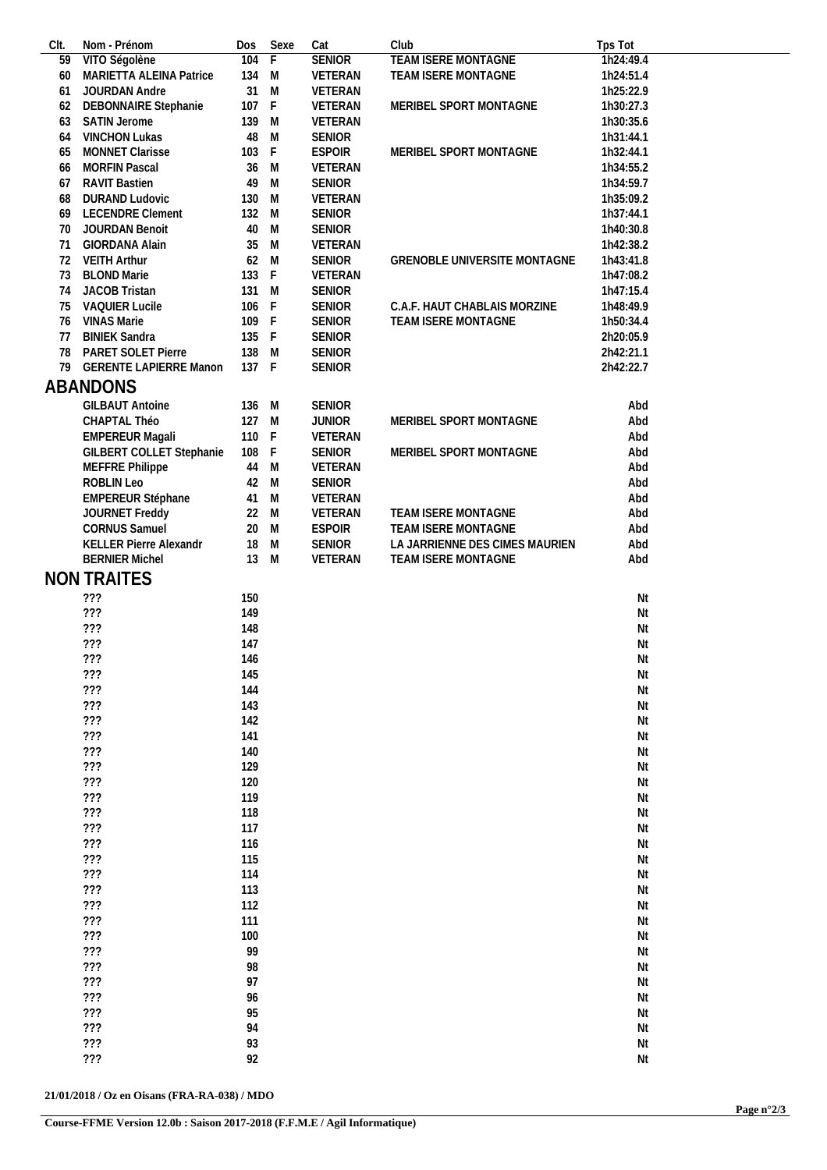| CIt. | Nom - Prénom                  | Dos   | Sexe         | Cat           | Club                           | Tps Tot   |
|------|-------------------------------|-------|--------------|---------------|--------------------------------|-----------|
| 59   | VITO Ségolène                 | 104   | F            | <b>SENIOR</b> | <b>TEAM ISERE MONTAGNE</b>     | 1h24:49.4 |
| 60   | MARIETTA ALEINA Patrice       | 134   | M            | VETERAN       | TEAM ISERE MONTAGNE            | 1h24:51.4 |
| 61   | JOURDAN Andre                 | 31    | M            | VETERAN       |                                | 1h25:22.9 |
| 62   | DEBONNAIRE Stephanie          | 107   | $\mathsf{F}$ | VETERAN       | MERIBEL SPORT MONTAGNE         | 1h30:27.3 |
| 63   | SATIN Jerome                  | 139 M |              | VETERAN       |                                | 1h30:35.6 |
| 64   | <b>VINCHON Lukas</b>          | 48    | M            | <b>SENIOR</b> |                                | 1h31:44.1 |
| 65   | MONNET Clarisse               | 103   | $\mathsf F$  | <b>ESPOIR</b> | MERIBEL SPORT MONTAGNE         | 1h32:44.1 |
| 66   | <b>MORFIN Pascal</b>          | 36    | M            | VETERAN       |                                | 1h34:55.2 |
|      |                               |       |              |               |                                | 1h34:59.7 |
| 67   | <b>RAVIT Bastien</b>          | 49    | M            | <b>SENIOR</b> |                                |           |
| 68   | <b>DURAND Ludovic</b>         | 130   | M            | VETERAN       |                                | 1h35:09.2 |
| 69   | <b>LECENDRE Clement</b>       | 132   | M            | <b>SENIOR</b> |                                | 1h37:44.1 |
| 70   | JOURDAN Benoit                | 40    | M            | <b>SENIOR</b> |                                | 1h40:30.8 |
| 71   | GIORDANA Alain                | 35    | M            | VETERAN       |                                | 1h42:38.2 |
| 72   | <b>VEITH Arthur</b>           | 62 M  |              | <b>SENIOR</b> | GRENOBLE UNIVERSITE MONTAGNE   | 1h43:41.8 |
| 73   | <b>BLOND Marie</b>            | 133   | $\mathsf F$  | VETERAN       |                                | 1h47:08.2 |
| 74   | JACOB Tristan                 | 131 M |              | <b>SENIOR</b> |                                | 1h47:15.4 |
| 75   | <b>VAQUIER Lucile</b>         | 106   | F            | SENIOR        | C.A.F. HAUT CHABLAIS MORZINE   | 1h48:49.9 |
| 76   | <b>VINAS Marie</b>            | 109 F |              | <b>SENIOR</b> | TEAM ISERE MONTAGNE            | 1h50:34.4 |
| 77   | <b>BINIEK Sandra</b>          | 135   | -F           | <b>SENIOR</b> |                                | 2h20:05.9 |
| 78   | PARET SOLET Pierre            | 138 M |              | <b>SENIOR</b> |                                | 2h42:21.1 |
| 79   |                               | 137   |              |               |                                |           |
|      | <b>GERENTE LAPIERRE Manon</b> |       | F            | <b>SENIOR</b> |                                | 2h42:22.7 |
|      | ABANDONS                      |       |              |               |                                |           |
|      | <b>GILBAUT Antoine</b>        | 136   | M            | <b>SENIOR</b> |                                | Abd       |
|      | CHAPTAL Théo                  | 127   | M            | <b>JUNIOR</b> | MERIBEL SPORT MONTAGNE         | Abd       |
|      | <b>EMPEREUR Magali</b>        | 110 F |              | VETERAN       |                                | Abd       |
|      | GILBERT COLLET Stephanie      | 108   | $\mathsf F$  | <b>SENIOR</b> | MERIBEL SPORT MONTAGNE         | Abd       |
|      |                               |       |              |               |                                |           |
|      | MEFFRE Philippe               | 44    | M            | VETERAN       |                                | Abd       |
|      | ROBLIN Leo                    | 42    | M            | <b>SENIOR</b> |                                | Abd       |
|      | EMPEREUR Stéphane             | 41 M  |              | VETERAN       |                                | Abd       |
|      | JOURNET Freddy                | 22    | M            | VETERAN       | TEAM ISERE MONTAGNE            | Abd       |
|      | <b>CORNUS Samuel</b>          | 20    | M            | <b>ESPOIR</b> | TEAM ISERE MONTAGNE            | Abd       |
|      | KELLER Pierre Alexandr        | 18    | M            | <b>SENIOR</b> | LA JARRIENNE DES CIMES MAURIEN | Abd       |
|      | <b>BERNIER Michel</b>         | 13 M  |              | VETERAN       | TEAM ISERE MONTAGNE            | Abd       |
|      | <b>NON TRAITES</b>            |       |              |               |                                |           |
|      |                               |       |              |               |                                |           |
|      | ???                           | 150   |              |               |                                | Nt        |
|      | 77?                           | 149   |              |               |                                | Nt        |
|      | ???                           | 148   |              |               |                                | Nt        |
|      | ???                           | 147   |              |               |                                | Nt        |
|      | $?$ ?                         | 146   |              |               |                                | Nt        |
|      | ???                           | 145   |              |               |                                | Nt        |
|      | ???                           | 144   |              |               |                                | Nt        |
|      | ???                           | 143   |              |               |                                | Nt        |
|      |                               |       |              |               |                                |           |
|      | ???                           | 142   |              |               |                                | Nt        |
|      | ???                           | 141   |              |               |                                | Nt        |
|      | ???                           | 140   |              |               |                                | Nt        |
|      | ???                           | 129   |              |               |                                | Nt        |
|      | ???                           | 120   |              |               |                                | Nt        |
|      | ???                           | 119   |              |               |                                | Nt        |
|      | 777                           | 118   |              |               |                                | Nt        |
|      | $???$                         | 117   |              |               |                                | Nt        |
|      | $???$                         | 116   |              |               |                                | Nt        |
|      | ???                           | 115   |              |               |                                | Nt        |
|      | ???                           | 114   |              |               |                                | Nt        |
|      | ???                           |       |              |               |                                |           |
|      |                               | 113   |              |               |                                | Nt        |
|      | ???                           | 112   |              |               |                                | Nt        |
|      | ???                           | 111   |              |               |                                | Nt        |
|      | ???                           | 100   |              |               |                                | Nt        |
|      | $???$                         | 99    |              |               |                                | Nt        |
|      | ???                           | 98    |              |               |                                | Nt        |
|      | ???                           | 97    |              |               |                                | Nt        |
|      | ???                           | 96    |              |               |                                | Nt        |
|      | ???                           | 95    |              |               |                                | Nt        |
|      | 777                           | 94    |              |               |                                | Nt        |
|      | ???                           | 93    |              |               |                                | Nt        |
|      |                               |       |              |               |                                |           |
|      | ???                           | 92    |              |               |                                | Nt        |

**21/01/2018 / Oz en Oisans (FRA-RA-038) / MDO**